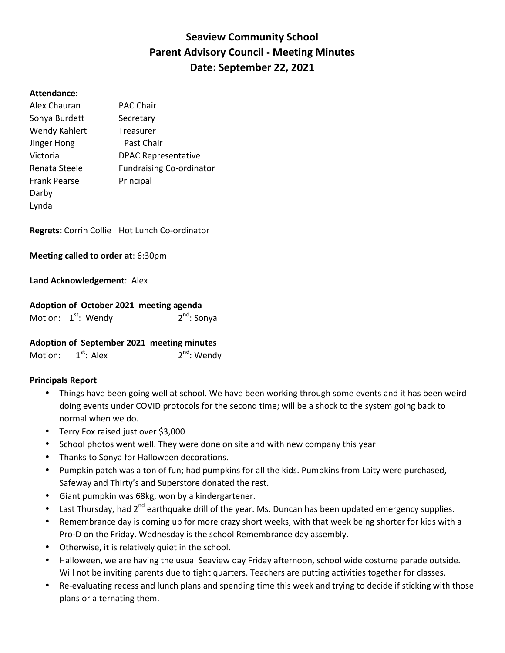# **Seaview Community School Parent Advisory Council - Meeting Minutes Date: September 22, 2021**

#### **Attendance:**

| Alex Chauran        | <b>PAC Chair</b>                |
|---------------------|---------------------------------|
| Sonya Burdett       | Secretary                       |
| Wendy Kahlert       | Treasurer                       |
| Jinger Hong         | Past Chair                      |
| Victoria            | <b>DPAC Representative</b>      |
| Renata Steele       | <b>Fundraising Co-ordinator</b> |
| <b>Frank Pearse</b> | Principal                       |
| Darby               |                                 |
| Lynda               |                                 |

**Regrets:** Corrin Collie Hot Lunch Co-ordinator

**Meeting called to order at**: 6:30pm

## **Land Acknowledgement**: Alex

## **Adoption of October 2021 meeting agenda**

| 2 <sup>nd</sup> : Sonya<br>Motion: 1 <sup>st</sup> : Wendy |  |
|------------------------------------------------------------|--|
|------------------------------------------------------------|--|

#### **Adoption of September 2021 meeting minutes**

| $1st$ : Alex<br>Motion: | $2^{nd}$ : Wendy |
|-------------------------|------------------|
|-------------------------|------------------|

#### **Principals Report**

- Things have been going well at school. We have been working through some events and it has been weird doing events under COVID protocols for the second time; will be a shock to the system going back to normal when we do.
- Terry Fox raised just over \$3,000
- School photos went well. They were done on site and with new company this year
- Thanks to Sonya for Halloween decorations.
- Pumpkin patch was a ton of fun; had pumpkins for all the kids. Pumpkins from Laity were purchased, Safeway and Thirty's and Superstore donated the rest.
- Giant pumpkin was 68kg, won by a kindergartener.
- Last Thursday, had  $2^{nd}$  earthquake drill of the year. Ms. Duncan has been updated emergency supplies.
- Remembrance day is coming up for more crazy short weeks, with that week being shorter for kids with a Pro-D on the Friday. Wednesday is the school Remembrance day assembly.
- Otherwise, it is relatively quiet in the school.
- Halloween, we are having the usual Seaview day Friday afternoon, school wide costume parade outside. Will not be inviting parents due to tight quarters. Teachers are putting activities together for classes.
- Re-evaluating recess and lunch plans and spending time this week and trying to decide if sticking with those plans or alternating them.